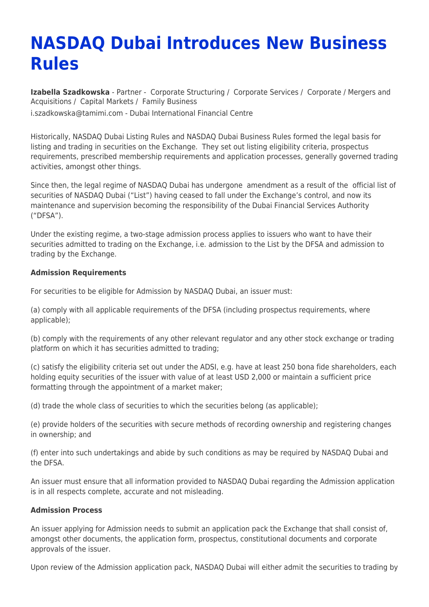# **NASDAQ Dubai Introduces New Business Rules**

**[Izabella Szadkowska](https://www.tamimi.com/find-a-lawyer/izabella-szadkowska/)** - Partner - [Corporate Structuring](https://www.tamimi.com/client-services/practices/corporate-structuring/) / [Corporate Services](https://www.tamimi.com/client-services/practices/corporate-services/) / [Corporate / Mergers and](https://www.tamimi.com/client-services/practices/corporate-mergers-acquisitions/) [Acquisitions](https://www.tamimi.com/client-services/practices/corporate-mergers-acquisitions/) / [Capital Markets](https://www.tamimi.com/client-services/practices/capital-markets/) / [Family Business](https://www.tamimi.com/client-services/practices/family-business/) [i.szadkowska@tamimi.com](mailto:i.szadkowska@tamimi.com) - [Dubai International Financial Centre](https://www.tamimi.com/locations/uae/)

Historically, NASDAQ Dubai Listing Rules and NASDAQ Dubai Business Rules formed the legal basis for listing and trading in securities on the Exchange. They set out listing eligibility criteria, prospectus requirements, prescribed membership requirements and application processes, generally governed trading activities, amongst other things.

Since then, the legal regime of NASDAQ Dubai has undergone amendment as a result of the official list of securities of NASDAQ Dubai ("List") having ceased to fall under the Exchange's control, and now its maintenance and supervision becoming the responsibility of the Dubai Financial Services Authority ("DFSA").

Under the existing regime, a two-stage admission process applies to issuers who want to have their securities admitted to trading on the Exchange, i.e. admission to the List by the DFSA and admission to trading by the Exchange.

### **Admission Requirements**

For securities to be eligible for Admission by NASDAQ Dubai, an issuer must:

(a) comply with all applicable requirements of the DFSA (including prospectus requirements, where applicable);

(b) comply with the requirements of any other relevant regulator and any other stock exchange or trading platform on which it has securities admitted to trading;

(c) satisfy the eligibility criteria set out under the ADSI, e.g. have at least 250 bona fide shareholders, each holding equity securities of the issuer with value of at least USD 2,000 or maintain a sufficient price formatting through the appointment of a market maker;

(d) trade the whole class of securities to which the securities belong (as applicable);

(e) provide holders of the securities with secure methods of recording ownership and registering changes in ownership; and

(f) enter into such undertakings and abide by such conditions as may be required by NASDAQ Dubai and the DFSA.

An issuer must ensure that all information provided to NASDAQ Dubai regarding the Admission application is in all respects complete, accurate and not misleading.

#### **Admission Process**

An issuer applying for Admission needs to submit an application pack the Exchange that shall consist of, amongst other documents, the application form, prospectus, constitutional documents and corporate approvals of the issuer.

Upon review of the Admission application pack, NASDAQ Dubai will either admit the securities to trading by